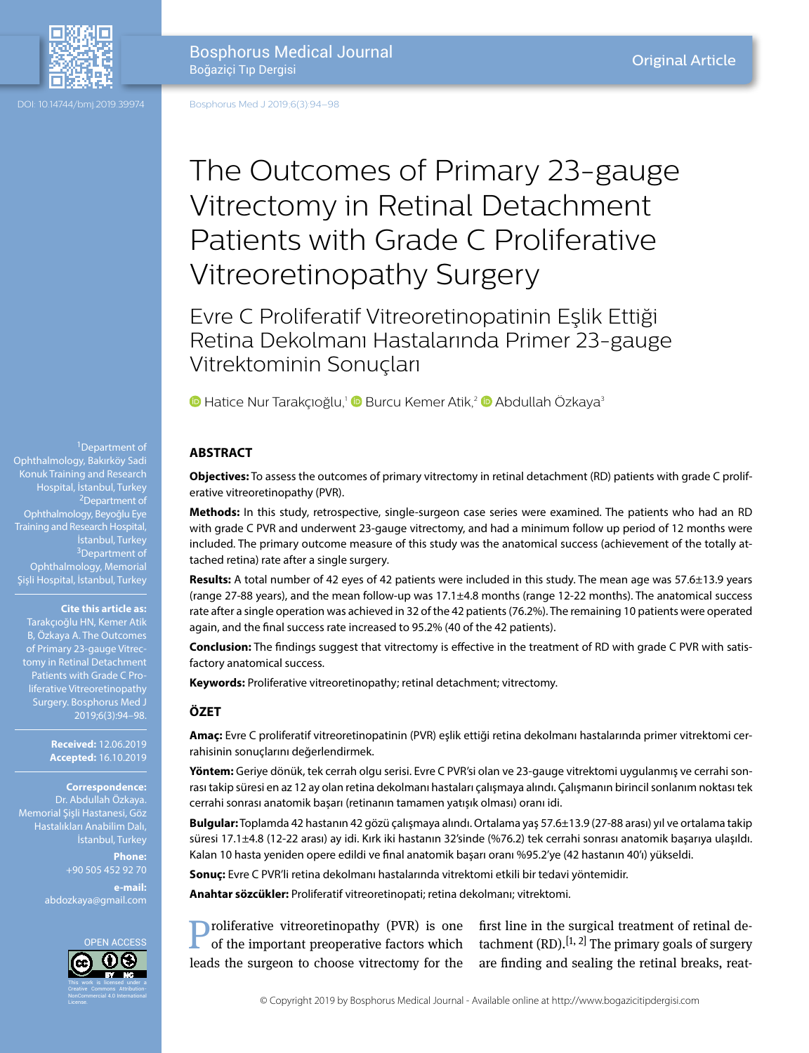

DOI: 10.14744/bmj.2019.39974 Bosphorus Med J 2019;6(3):94–98

> The Outcomes of Primary 23-gauge Vitrectomy in Retinal Detachment Patients with Grade C Proliferative Vitreoretinopathy Surgery

Evre C Proliferatif Vitreoretinopatinin Eşlik Ettiği Retina Dekolmanı Hastalarında Primer 23-gauge Vitrektominin Sonuçları

**D**Hatice Nur Tarakçıoğlu,<sup>1</sup> **D** Burcu Kemer Atik,<sup>2</sup> D Abdullah Özkaya<sup>3</sup>

### **ABSTRACT**

**Objectives:** To assess the outcomes of primary vitrectomy in retinal detachment (RD) patients with grade C proliferative vitreoretinopathy (PVR).

**Methods:** In this study, retrospective, single-surgeon case series were examined. The patients who had an RD with grade C PVR and underwent 23-gauge vitrectomy, and had a minimum follow up period of 12 months were included. The primary outcome measure of this study was the anatomical success (achievement of the totally attached retina) rate after a single surgery.

**Results:** A total number of 42 eyes of 42 patients were included in this study. The mean age was 57.6±13.9 years (range 27-88 years), and the mean follow-up was 17.1±4.8 months (range 12-22 months). The anatomical success rate after a single operation was achieved in 32 of the 42 patients (76.2%). The remaining 10 patients were operated again, and the final success rate increased to 95.2% (40 of the 42 patients).

**Conclusion:** The findings suggest that vitrectomy is effective in the treatment of RD with grade C PVR with satisfactory anatomical success.

**Keywords:** Proliferative vitreoretinopathy; retinal detachment; vitrectomy.

### **ÖZET**

**Amaç:** Evre C proliferatif vitreoretinopatinin (PVR) eşlik ettiği retina dekolmanı hastalarında primer vitrektomi cerrahisinin sonuçlarını değerlendirmek.

**Yöntem:** Geriye dönük, tek cerrah olgu serisi. Evre C PVR'si olan ve 23-gauge vitrektomi uygulanmış ve cerrahi sonrası takip süresi en az 12 ay olan retina dekolmanı hastaları çalışmaya alındı. Çalışmanın birincil sonlanım noktası tek cerrahi sonrası anatomik başarı (retinanın tamamen yatışık olması) oranı idi.

**Bulgular:** Toplamda 42 hastanın 42 gözü çalışmaya alındı. Ortalama yaş 57.6±13.9 (27-88 arası) yıl ve ortalama takip süresi 17.1±4.8 (12-22 arası) ay idi. Kırk iki hastanın 32'sinde (%76.2) tek cerrahi sonrası anatomik başarıya ulaşıldı. Kalan 10 hasta yeniden opere edildi ve final anatomik başarı oranı %95.2'ye (42 hastanın 40'ı) yükseldi.

**Sonuç:** Evre C PVR'li retina dekolmanı hastalarında vitrektomi etkili bir tedavi yöntemidir.

**Anahtar sözcükler:** Proliferatif vitreoretinopati; retina dekolmanı; vitrektomi.

**Proliferative vitreoretinopathy (PVR) is one** of the important preoperative factors which leads the surgeon to choose vitrectomy for the

first line in the surgical treatment of retinal detachment  $(RD)$ .<sup>[1, 2]</sup> The primary goals of surgery are finding and sealing the retinal breaks, reat-

1Department of

Ophthalmology, Bakırköy Sadi Konuk Training and Research Hospital, İstanbul, Turkey 2Department of Ophthalmology, Beyoğlu Eye İstanbul, Turkey <sup>3</sup>Department of Ophthalmology, Memorial Şişli Hospital, İstanbul, Turkey

#### **Cite this article as:**

Tarakçıoğlu HN, Kemer Atik B, Özkaya A. The Outcomes of Primary 23-gauge Vitrectomy in Retinal Detachment liferative Vitreoretinopathy Surgery. Bosphorus Med J 2019;6(3):94–98.

> **Received:** 12.06.2019 **Accepted:** 16.10.2019

# **Correspondence:** Dr. Abdullah Özkaya.

Memorial Şişli Hastanesi, Göz Hastalıkları Anabilim Dalı, İstanbul, Turkey

**Phone:** +90 505 452 92 70

**e-mail:** abdozkaya@gmail.com

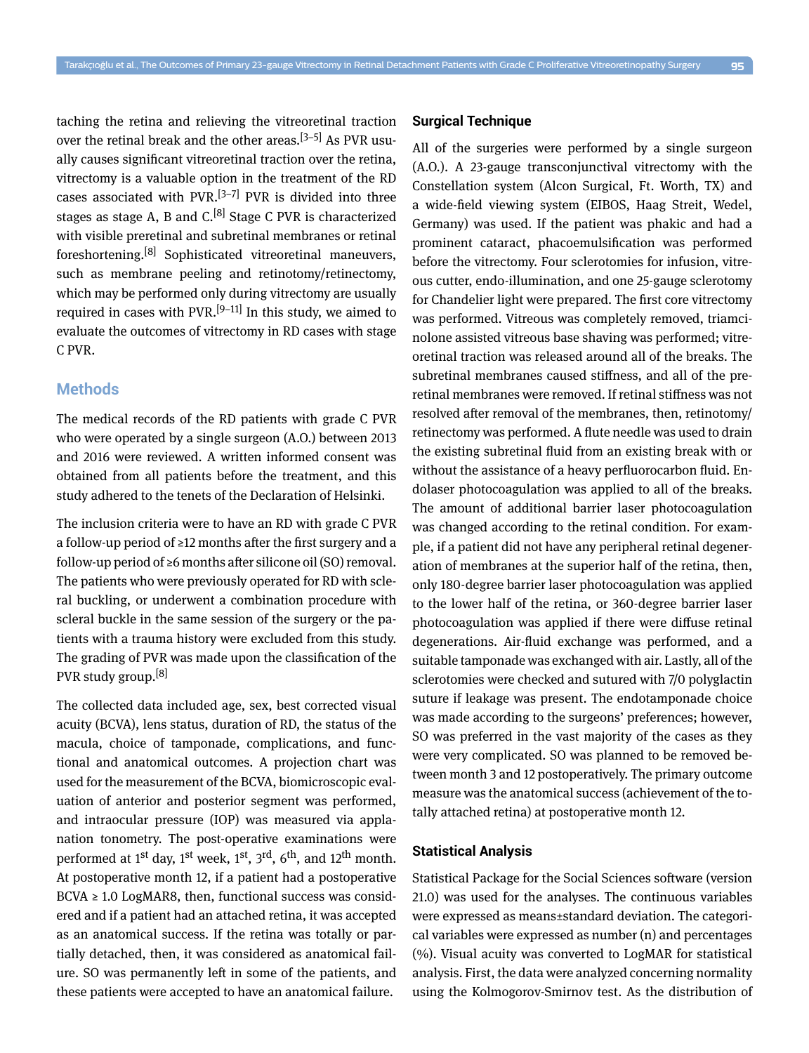taching the retina and relieving the vitreoretinal traction over the retinal break and the other areas.<sup>[3–5]</sup> As PVR usually causes significant vitreoretinal traction over the retina, vitrectomy is a valuable option in the treatment of the RD cases associated with  $PVR$ <sup>[3–7]</sup> PVR is divided into three stages as stage A, B and C.<sup>[8]</sup> Stage C PVR is characterized with visible preretinal and subretinal membranes or retinal foreshortening.[8] Sophisticated vitreoretinal maneuvers, such as membrane peeling and retinotomy/retinectomy, which may be performed only during vitrectomy are usually required in cases with  $PVR.$ <sup>[9–11]</sup> In this study, we aimed to evaluate the outcomes of vitrectomy in RD cases with stage C PVR.

# **Methods**

The medical records of the RD patients with grade C PVR who were operated by a single surgeon (A.O.) between 2013 and 2016 were reviewed. A written informed consent was obtained from all patients before the treatment, and this study adhered to the tenets of the Declaration of Helsinki.

The inclusion criteria were to have an RD with grade C PVR a follow-up period of ≥12 months after the first surgery and a follow-up period of ≥6 months after silicone oil (SO) removal. The patients who were previously operated for RD with scleral buckling, or underwent a combination procedure with scleral buckle in the same session of the surgery or the patients with a trauma history were excluded from this study. The grading of PVR was made upon the classification of the PVR study group.<sup>[8]</sup>

The collected data included age, sex, best corrected visual acuity (BCVA), lens status, duration of RD, the status of the macula, choice of tamponade, complications, and functional and anatomical outcomes. A projection chart was used for the measurement of the BCVA, biomicroscopic evaluation of anterior and posterior segment was performed, and intraocular pressure (IOP) was measured via applanation tonometry. The post-operative examinations were performed at 1<sup>st</sup> day, 1<sup>st</sup> week, 1<sup>st</sup>, 3<sup>rd</sup>, 6<sup>th</sup>, and 12<sup>th</sup> month. At postoperative month 12, if a patient had a postoperative  $BCVA \geq 1.0$  LogMAR8, then, functional success was considered and if a patient had an attached retina, it was accepted as an anatomical success. If the retina was totally or partially detached, then, it was considered as anatomical failure. SO was permanently left in some of the patients, and these patients were accepted to have an anatomical failure.

## **Surgical Technique**

All of the surgeries were performed by a single surgeon (A.O.). A 23-gauge transconjunctival vitrectomy with the Constellation system (Alcon Surgical, Ft. Worth, TX) and a wide-field viewing system (EIBOS, Haag Streit, Wedel, Germany) was used. If the patient was phakic and had a prominent cataract, phacoemulsification was performed before the vitrectomy. Four sclerotomies for infusion, vitreous cutter, endo-illumination, and one 25-gauge sclerotomy for Chandelier light were prepared. The first core vitrectomy was performed. Vitreous was completely removed, triamcinolone assisted vitreous base shaving was performed; vitreoretinal traction was released around all of the breaks. The subretinal membranes caused stiffness, and all of the preretinal membranes were removed. If retinal stiffness was not resolved after removal of the membranes, then, retinotomy/ retinectomy was performed. A flute needle was used to drain the existing subretinal fluid from an existing break with or without the assistance of a heavy perfluorocarbon fluid. Endolaser photocoagulation was applied to all of the breaks. The amount of additional barrier laser photocoagulation was changed according to the retinal condition. For example, if a patient did not have any peripheral retinal degeneration of membranes at the superior half of the retina, then, only 180-degree barrier laser photocoagulation was applied to the lower half of the retina, or 360-degree barrier laser photocoagulation was applied if there were diffuse retinal degenerations. Air-fluid exchange was performed, and a suitable tamponade was exchanged with air. Lastly, all of the sclerotomies were checked and sutured with 7/0 polyglactin suture if leakage was present. The endotamponade choice was made according to the surgeons' preferences; however, SO was preferred in the vast majority of the cases as they were very complicated. SO was planned to be removed between month 3 and 12 postoperatively. The primary outcome measure was the anatomical success (achievement of the totally attached retina) at postoperative month 12.

### **Statistical Analysis**

Statistical Package for the Social Sciences software (version 21.0) was used for the analyses. The continuous variables were expressed as means±standard deviation. The categorical variables were expressed as number (n) and percentages (%). Visual acuity was converted to LogMAR for statistical analysis. First, the data were analyzed concerning normality using the Kolmogorov-Smirnov test. As the distribution of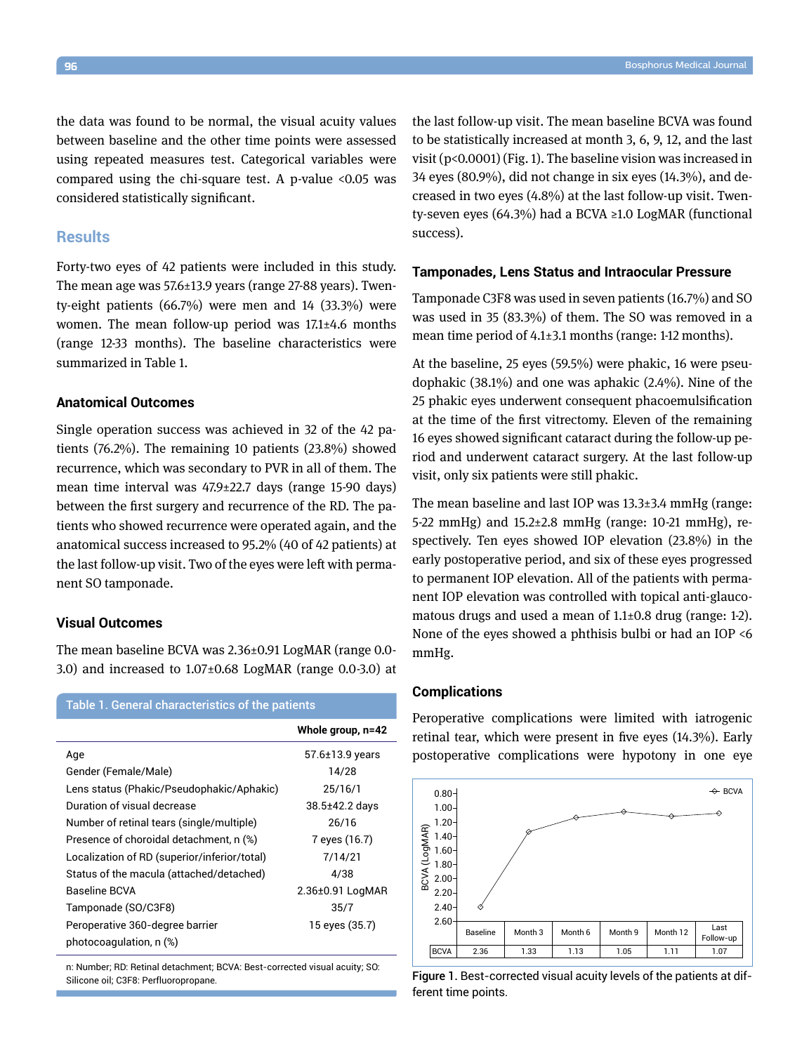the data was found to be normal, the visual acuity values between baseline and the other time points were assessed using repeated measures test. Categorical variables were compared using the chi-square test. A p-value <0.05 was considered statistically significant.

## **Results**

Forty-two eyes of 42 patients were included in this study. The mean age was 57.6±13.9 years (range 27-88 years). Twenty-eight patients (66.7%) were men and 14 (33.3%) were women. The mean follow-up period was 17.1±4.6 months (range 12-33 months). The baseline characteristics were summarized in Table 1.

## **Anatomical Outcomes**

Single operation success was achieved in 32 of the 42 patients (76.2%). The remaining 10 patients (23.8%) showed recurrence, which was secondary to PVR in all of them. The mean time interval was 47.9±22.7 days (range 15-90 days) between the first surgery and recurrence of the RD. The patients who showed recurrence were operated again, and the anatomical success increased to 95.2% (40 of 42 patients) at the last follow-up visit. Two of the eyes were left with permanent SO tamponade.

## **Visual Outcomes**

The mean baseline BCVA was 2.36±0.91 LogMAR (range 0.0- 3.0) and increased to  $1.07\pm0.68$  LogMAR (range 0.0-3.0) at

| Table 1. General characteristics of the patients |                       |
|--------------------------------------------------|-----------------------|
|                                                  | Whole group, n=42     |
| Age                                              | $57.6 \pm 13.9$ years |
| Gender (Female/Male)                             | 14/28                 |
| Lens status (Phakic/Pseudophakic/Aphakic)        | 25/16/1               |
| Duration of visual decrease                      | $38.5 \pm 42.2$ days  |
| Number of retinal tears (single/multiple)        | 26/16                 |
| Presence of choroidal detachment, n (%)          | 7 eyes (16.7)         |
| Localization of RD (superior/inferior/total)     | 7/14/21               |
| Status of the macula (attached/detached)         | 4/38                  |
| Baseline BCVA                                    | 2.36±0.91 LogMAR      |
| Tamponade (SO/C3F8)                              | 35/7                  |
| Peroperative 360-degree barrier                  | 15 eyes (35.7)        |
| photocoagulation, n (%)                          |                       |

n: Number; RD: Retinal detachment; BCVA: Best-corrected visual acuity; SO: Silicone oil; C3F8: Perfluoropropane.

the last follow-up visit. The mean baseline BCVA was found to be statistically increased at month 3, 6, 9, 12, and the last visit (p<0.0001) (Fig. 1). The baseline vision was increased in 34 eyes (80.9%), did not change in six eyes (14.3%), and decreased in two eyes (4.8%) at the last follow-up visit. Twenty-seven eyes (64.3%) had a BCVA ≥1.0 LogMAR (functional success).

#### **Tamponades, Lens Status and Intraocular Pressure**

Tamponade C3F8 was used in seven patients (16.7%) and SO was used in 35 (83.3%) of them. The SO was removed in a mean time period of 4.1±3.1 months (range: 1-12 months).

At the baseline, 25 eyes (59.5%) were phakic, 16 were pseudophakic (38.1%) and one was aphakic (2.4%). Nine of the 25 phakic eyes underwent consequent phacoemulsification at the time of the first vitrectomy. Eleven of the remaining 16 eyes showed significant cataract during the follow-up period and underwent cataract surgery. At the last follow-up visit, only six patients were still phakic.

The mean baseline and last IOP was 13.3±3.4 mmHg (range: 5-22 mmHg) and 15.2±2.8 mmHg (range: 10-21 mmHg), respectively. Ten eyes showed IOP elevation (23.8%) in the early postoperative period, and six of these eyes progressed to permanent IOP elevation. All of the patients with permanent IOP elevation was controlled with topical anti-glaucomatous drugs and used a mean of 1.1±0.8 drug (range: 1-2). None of the eyes showed a phthisis bulbi or had an IOP <6 mmHg.

## **Complications**

Peroperative complications were limited with iatrogenic retinal tear, which were present in five eyes (14.3%). Early postoperative complications were hypotony in one eye



Figure 1. Best-corrected visual acuity levels of the patients at different time points.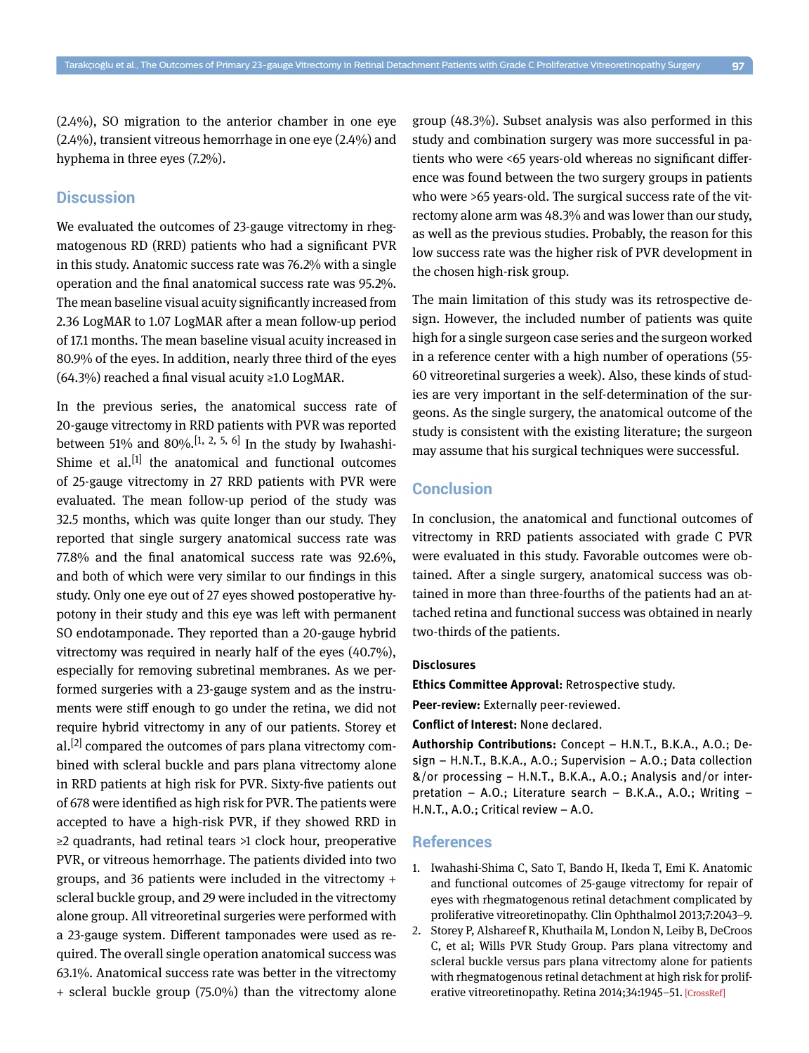(2.4%), SO migration to the anterior chamber in one eye (2.4%), transient vitreous hemorrhage in one eye (2.4%) and hyphema in three eyes (7.2%).

## **Discussion**

We evaluated the outcomes of 23-gauge vitrectomy in rhegmatogenous RD (RRD) patients who had a significant PVR in this study. Anatomic success rate was 76.2% with a single operation and the final anatomical success rate was 95.2%. The mean baseline visual acuity significantly increased from 2.36 LogMAR to 1.07 LogMAR after a mean follow-up period of 17.1 months. The mean baseline visual acuity increased in 80.9% of the eyes. In addition, nearly three third of the eyes (64.3%) reached a final visual acuity ≥1.0 LogMAR.

In the previous series, the anatomical success rate of 20-gauge vitrectomy in RRD patients with PVR was reported between 51% and 80%.<sup>[1, 2, 5, 6]</sup> In the study by Iwahashi-Shime et al.<sup>[1]</sup> the anatomical and functional outcomes of 25-gauge vitrectomy in 27 RRD patients with PVR were evaluated. The mean follow-up period of the study was 32.5 months, which was quite longer than our study. They reported that single surgery anatomical success rate was 77.8% and the final anatomical success rate was 92.6%, and both of which were very similar to our findings in this study. Only one eye out of 27 eyes showed postoperative hypotony in their study and this eye was left with permanent SO endotamponade. They reported than a 20-gauge hybrid vitrectomy was required in nearly half of the eyes (40.7%), especially for removing subretinal membranes. As we performed surgeries with a 23-gauge system and as the instruments were stiff enough to go under the retina, we did not require hybrid vitrectomy in any of our patients. Storey et al.<sup>[2]</sup> compared the outcomes of pars plana vitrectomy combined with scleral buckle and pars plana vitrectomy alone in RRD patients at high risk for PVR. Sixty-five patients out of 678 were identified as high risk for PVR. The patients were accepted to have a high-risk PVR, if they showed RRD in ≥2 quadrants, had retinal tears >1 clock hour, preoperative PVR, or vitreous hemorrhage. The patients divided into two groups, and 36 patients were included in the vitrectomy + scleral buckle group, and 29 were included in the vitrectomy alone group. All vitreoretinal surgeries were performed with a 23-gauge system. Different tamponades were used as required. The overall single operation anatomical success was 63.1%. Anatomical success rate was better in the vitrectomy + scleral buckle group (75.0%) than the vitrectomy alone group (48.3%). Subset analysis was also performed in this study and combination surgery was more successful in patients who were <65 years-old whereas no significant difference was found between the two surgery groups in patients who were >65 years-old. The surgical success rate of the vitrectomy alone arm was 48.3% and was lower than our study, as well as the previous studies. Probably, the reason for this low success rate was the higher risk of PVR development in the chosen high-risk group.

The main limitation of this study was its retrospective design. However, the included number of patients was quite high for a single surgeon case series and the surgeon worked in a reference center with a high number of operations (55- 60 vitreoretinal surgeries a week). Also, these kinds of studies are very important in the self-determination of the surgeons. As the single surgery, the anatomical outcome of the study is consistent with the existing literature; the surgeon may assume that his surgical techniques were successful.

# **Conclusion**

In conclusion, the anatomical and functional outcomes of vitrectomy in RRD patients associated with grade C PVR were evaluated in this study. Favorable outcomes were obtained. After a single surgery, anatomical success was obtained in more than three-fourths of the patients had an attached retina and functional success was obtained in nearly two-thirds of the patients.

#### **Disclosures**

**Ethics Committee Approval:** Retrospective study.

**Peer-review:** Externally peer-reviewed.

**Conflict of Interest:** None declared.

**Authorship Contributions:** Concept – H.N.T., B.K.A., A.O.; Design – H.N.T., B.K.A., A.O.; Supervision – A.O.; Data collection &/or processing – H.N.T., B.K.A., A.O.; Analysis and/or interpretation – A.O.; Literature search – B.K.A., A.O.; Writing – H.N.T., A.O.; Critical review – A.O.

## **References**

- 1. Iwahashi-Shima C, Sato T, Bando H, Ikeda T, Emi K. Anatomic and functional outcomes of 25-gauge vitrectomy for repair of eyes with rhegmatogenous retinal detachment complicated by proliferative vitreoretinopathy. [Clin Ophthalmol 2013;7:2043–9.](https://doi.org/10.2147/OPTH.S52260)
- 2. Storey P, Alshareef R, Khuthaila M, London N, Leiby B, DeCroos C, et al; Wills PVR Study Group. Pars plana vitrectomy and scleral buckle versus pars plana vitrectomy alone for patients with rhegmatogenous retinal detachment at high risk for prolif-erative vitreoretinopathy. Retina 2014;34:1945-51. [\[CrossRef\]](https://doi.org/10.1097/IAE.0000000000000216)